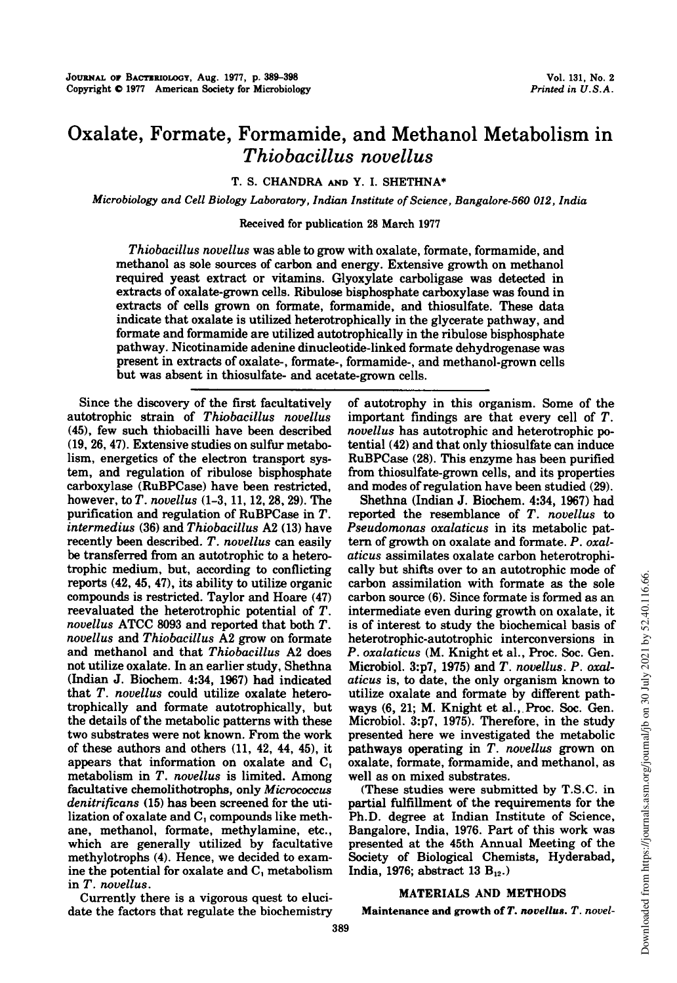# Oxalate, Formate, Formamide, and Methanol Metabolism in Thiobacillus novellus

T. S. CHANDRA AND Y. I. SHETHNA\*

Microbiology and Cell Biology Laboratory, Indian Institute of Science, Bangalore-560 012, India

## Received for publication 28 March 1977

Thiobacillus novellus was able to grow with oxalate, formate, formamide, and methanol as sole sources of carbon and energy. Extensive growth on methanol required yeast extract or vitamins. Glyoxylate carboligase was detected in extracts of oxalate-grown cells. Ribulose bisphosphate carboxylase was found in extracts of cells grown on formate, formamide, and thiosulfate. These data indicate that oxalate is utilized heterotrophically in the glycerate pathway, and formate and formamide are utilized autotrophically in the ribulose bisphosphate pathway. Nicotinamide adenine dinucleotide-linked formate dehydrogenase was present in extracts of oxalate-, formate-, formamide-, and methanol-grown cells but was absent in thiosulfate- and acetate-grown cells.

Since the discovery of the first facultatively autotrophic strain of Thiobacillus novellus (45), few such thiobacilli have been described (19, 26, 47). Extensive studies on sulfur metabolism, energetics of the electron transport system, and regulation of ribulose bisphosphate carboxylase (RuBPCase) have been restricted, however, to  $T.$  novellus  $(1-3, 11, 12, 28, 29)$ . The purification and regulation of RuBPCase in T. intermedius (36) and Thiobacillus A2 (13) have recently been described. T. novellus can easily be transferred from an autotrophic to a heterotrophic medium, but, according to conflicting reports (42, 45, 47), its ability to utilize organic compounds is restricted. Taylor and Hoare (47) reevaluated the heterotrophic potential of T. novellus ATCC <sup>8093</sup> and reported that both T. novellus and Thiobacillus A2 grow on formate and methanol and that Thiobacillus A2 does not utilize oxalate. In an earlier study, Shethna (Indian J. Biochem. 4:34, 1967) had indicated that T. novellus could utilize oxalate heterotrophically and formate autotrophically, but the details of the metabolic patterns with these two substrates were not known. From the work of these authors and others (11, 42, 44, 45), it appears that information on oxalate and  $C_1$ metabolism in T. novellus is limited. Among facultative chemolithotrophs, only Micrococcus denitrificans (15) has been screened for the utilization of oxalate and C, compounds like methane, methanol, formate, methylamine, etc., which are generally utilized by facultative methylotrophs (4). Hence, we decided to examine the potential for oxalate and C, metabolism in T. novellus.

Currently there is a vigorous quest to elucidate the factors that regulate the biochemistry of autotrophy in this organism. Some of the important findings are that every cell of T. novellus has autotrophic and heterotrophic potential (42) and that only thiosulfate can induce RuBPCase (28). This enzyme has been purified from thiosulfate-grown cells, and its properties and modes of regulation have been studied (29).

Shethna (Indian J. Biochem. 4:34, 1967) had reported the resemblance of T. novellus to Pseudomonas oxalaticus in its metabolic pattern of growth on oxalate and formate. P. oxalaticus assimilates oxalate carbon heterotrophically but shifts over to an autotrophic mode of carbon assimilation with formate as the sole carbon source (6). Since formate is formed as an intermediate even during growth on oxalate, it is of interest to study the biochemical basis of heterotrophic-autotrophic interconversions in P. oxalaticus (M. Knight et al., Proc. Soc. Gen. Microbiol. 3:p7, 1975) and T. novellus. P. oxalaticus is, to date, the only organism known to utilize oxalate and formate by different pathways (6, 21; M. Knight et al., Proc. Soc. Gen. Microbiol. 3:p7, 1975). Therefore, in the study presented here we investigated the metabolic pathways operating in T. novellus grown on oxalate, formate, formamide, and methanol, as well as on mixed substrates.

(These studies were submitted by T.S.C. in partial fulfillment of the requirements for the Ph.D. degree at Indian Institute of Science, Bangalore, India, 1976. Part of this work was presented at the 45th Annual Meeting of the Society of Biological Chemists, Hyderabad, India, 1976; abstract 13  $B_{12}$ .)

### MATERIALS AND METHODS

Maintenance and growth of T. novellus. T. novel-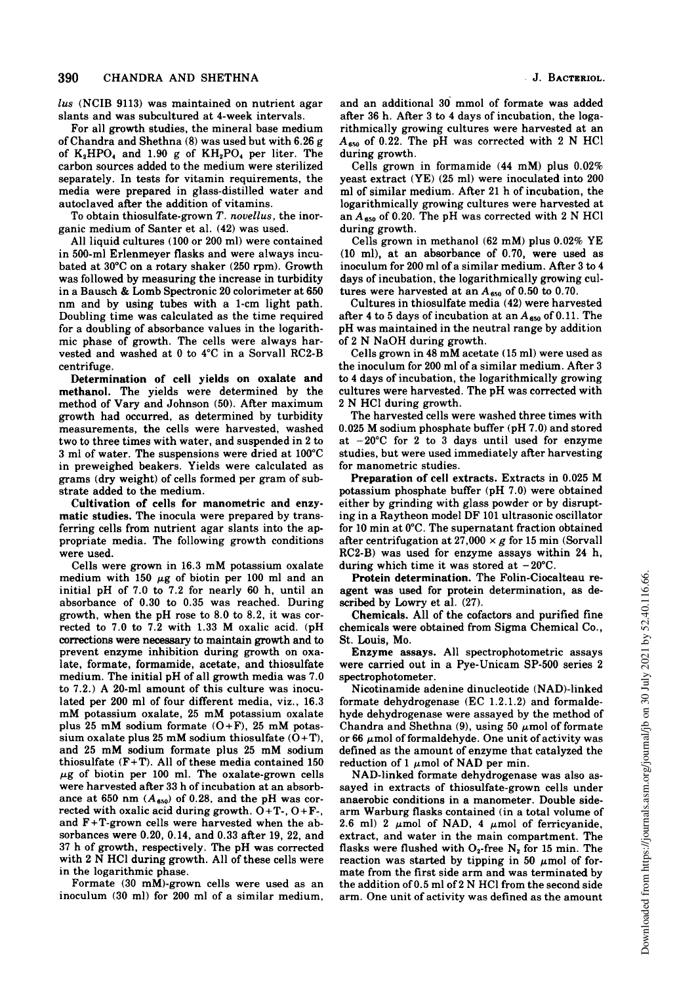lus (NCIB 9113) was maintained on nutrient agar slants and was subcultured at 4-week intervals.

For all growth studies, the mineral base medium of Chandra and Shethna (8) was used but with 6.26 g of  $K_2HPO_4$  and 1.90 g of  $KH_2PO_4$  per liter. The carbon sources added to the medium were sterilized separately. In tests for vitamin requirements, the media were prepared in glass-distilled water and autoclaved after the addition of vitamins.

To obtain thiosulfate-grown  $T$ . novellus, the inorganic medium of Santer et al. (42) was used.

All liquid cultures (100 or 200 ml) were contained in 500-ml Erlenmeyer flasks and were always incubated at 30°C on a rotary shaker (250 rpm). Growth was followed by measuring the increase in turbidity in <sup>a</sup> Bausch & Lomb Spectronic <sup>20</sup> colorimeter at <sup>650</sup> nm and by using tubes with a 1-cm light path. Doubling time was calculated as the time required for a doubling of absorbance values in the logarithmic phase of growth. The cells were always harvested and washed at 0 to 4°C in a Sorvall RC2-B centrifuge.

Determination of cell yields on oxalate and methanol. The yields were determined by the method of Vary and Johnson (50). After maximum growth had occurred, as determined by turbidity measurements, the cells were harvested, washed two to three times with water, and suspended in 2 to 3 ml of water. The suspensions were dried at 100°C in preweighed beakers. Yields were calculated as grams (dry weight) of cells formed per gram of substrate added to the medium.

Cultivation of cells for manometric and enzymatic studies. The inocula were prepared by transferring cells from nutrient agar slants into the appropriate media. The following growth conditions were used.

Cells were grown in 16.3 mM potassium oxalate medium with 150  $\mu$ g of biotin per 100 ml and an initial pH of 7.0 to 7.2 for nearly 60 h, until an absorbance of 0.30 to 0.35 was reached. During growth, when the pH rose to 8.0 to 8.2, it was corrected to 7.0 to 7.2 with 1.33 M oxalic acid. (pH corrections were necessary to maintain growth and to prevent enzyme inhibition during growth on oxalate, formate, formamide, acetate, and thiosulfate medium. The initial pH of all growth media was 7.0 to 7.2.) A 20-ml amount of this culture was inoculated per 200 ml of four different media, viz., 16.3 mM potassium oxalate, <sup>25</sup> mM potassium oxalate plus 25 mM sodium formate  $(O+F)$ , 25 mM potassium oxalate plus 25 mM sodium thiosulfate  $(O+T)$ , and <sup>25</sup> mM sodium formate plus <sup>25</sup> mM sodium thiosulfate  $(F+T)$ . All of these media contained 150  $\mu$ g of biotin per 100 ml. The oxalate-grown cells were harvested after 33 h of incubation at an absorbance at 650 nm  $(A_{650})$  of 0.28, and the pH was corrected with oxalic acid during growth.  $O+T-$ ,  $O+F-$ , and F+T-grown cells were harvested when the absorbances were 0.20, 0.14, and 0.33 after 19, 22, and <sup>37</sup> h of growth, respectively. The pH was corrected with <sup>2</sup> N HCl during growth. All of these cells were in the logarithmic phase.

Formate (30 mM)-grown cells were used as an inoculum (30 ml) for 200 ml of a similar medium,

and an additional 30 mmol of formate was added after 36 h. After 3 to 4 days of incubation, the logarithmically growing cultures were harvested at an  $A_{650}$  of 0.22. The pH was corrected with 2 N HCl during growth.

Cells grown in formamide (44 mM) plus 0.02% yeast extract (YE) (25 ml) were inoculated into 200 ml of similar medium. After 21 h of incubation, the logarithmically growing cultures were harvested at an  $A_{650}$  of 0.20. The pH was corrected with 2 N HCl during growth.

Cells grown in methanol (62 mM) plus 0.02% YE (10 ml), at an absorbance of 0.70, were used as inoculum for 200 ml of a similar medium. After 3 to 4 days of incubation, the logarithmically growing cultures were harvested at an  $A_{650}$  of 0.50 to 0.70.

Cultures in thiosulfate media (42) were harvested after 4 to 5 days of incubation at an  $A_{650}$  of 0.11. The pH was maintained in the neutral range by addition of <sup>2</sup> N NaOH during growth.

Cells grown in <sup>48</sup> mM acetate (15 ml) were used as the inoculum for 200 ml of a similar medium. After <sup>3</sup> to 4 days of incubation, the logarithmically growing cultures were harvested. The pH was corrected with <sup>2</sup> N HCl during growth.

The harvested cells were washed three times with 0.025 M sodium phosphate buffer (pH 7.0) and stored at  $-20^{\circ}$ C for 2 to 3 days until used for enzyme studies, but were used immediately after harvesting for manometric studies.

Preparation of cell extracts. Extracts in 0.025 M potassium phosphate buffer (pH 7.0) were obtained either by grinding with glass powder or by disrupting in a Raytheon model DF <sup>101</sup> ultrasonic oscillator for 10 min at 0°C. The supernatant fraction obtained after centrifugation at 27,000  $\times$  g for 15 min (Sorvall RC2-B) was used for enzyme assays within 24 h, during which time it was stored at  $-20^{\circ}$ C.

Protein determination. The Folin-Ciocalteau reagent was used for protein determination, as described by Lowry et al. (27).

Chemicals. All of the cofactors and purified fine chemicals were obtained from Sigma Chemical Co., St. Louis, Mo.

Enzyme assays. All spectrophotometric assays were carried out in a Pye-Unicam SP-500 series 2 spectrophotometer.

Nicotinamide adenine dinucleotide (NAD)-linked formate dehydrogenase (EC 1.2.1.2) and formaldehyde dehydrogenase were assayed by the method of Chandra and Shethna (9), using 50  $\mu$ mol of formate or 66  $\mu$ mol of formaldehyde. One unit of activity was defined as the amount of enzyme that catalyzed the reduction of 1  $\mu$ mol of NAD per min.

NAD-linked formate dehydrogenase was also assayed in extracts of thiosulfate-grown cells under anaerobic conditions in a manometer. Double sidearm Warburg flasks contained (in a total volume of 2.6 ml) 2  $\mu$ mol of NAD, 4  $\mu$ mol of ferricyanide, extract, and water in the main compartment. The flasks were flushed with  $O_2$ -free  $N_2$  for 15 min. The reaction was started by tipping in 50  $\mu$ mol of formate from the first side arm and was terminated by the addition of 0.5 ml of <sup>2</sup> N HCl from the second side arm. One unit of activity was defined as the amount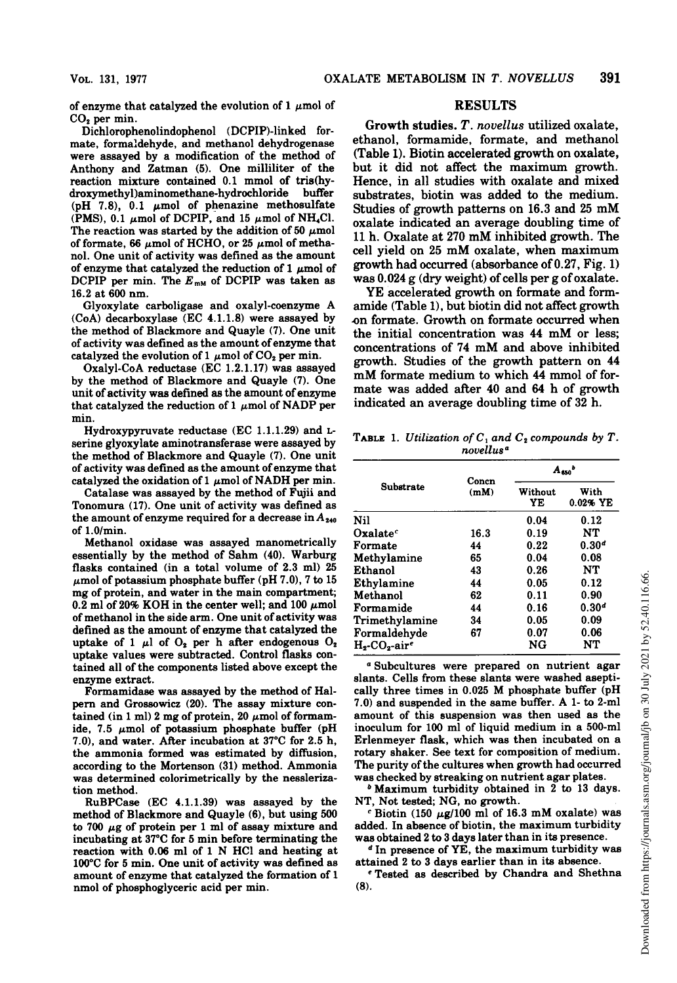of enzyme that catalyzed the evolution of 1  $\mu$ mol of CO<sub>2</sub> per min.

Dichlorophenolindophenol (DCPIP)-linked formate, formaldehyde, and methanol dehydrogenase were assayed by a modification of the method of Anthony and Zatman (5). One milliliter of the reaction mixture contained 0.1 mmol of tris(hydroxymethyl)aminomethane-hydrochloride (pH 7.8), 0.1  $\mu$ mol of phenazine methosulfate (PMS), 0.1  $\mu$ mol of DCPIP, and 15  $\mu$ mol of NH<sub>4</sub>Cl. The reaction was started by the addition of 50  $\mu \mathrm{mol}$ of formate, 66  $\mu$ mol of HCHO, or 25  $\mu$ mol of methanol. One unit of activity was defined as the amount of enzyme that catalyzed the reduction of 1  $\mu$ mol of DCPIP per min. The  $E_{mM}$  of DCPIP was taken as 16.2 at 600 nm.

Glyoxylate carboligase and oxalyl-coenzyme A (CoA) decarboxylase (EC 4.1.1.8) were assayed by the method of Blackmore and Quayle (7). One unit of activity was defined as the amount of enzyme that catalyzed the evolution of 1  $\mu$ mol of CO<sub>2</sub> per min.

Oxalyl-CoA reductase (EC 1.2.1.17) was assayed by the method of Blackmore and Quayle (7). One unit of activity was defined as the amount of enzyme that catalyzed the reduction of 1  $\mu$ mol of NADP per min.

Hydroxypyruvate reductase (EC 1.1.1.29) and Lserine glyoxylate aminotransferase were assayed by the method of Blackmore and Quayle (7). One unit of activity was defined as the amount of enzyme that catalyzed the oxidation of 1  $\mu$ mol of NADH per min.

Catalase was assayed by the method of Fujii and Tonomura (17). One unit of activity was defined as the amount of enzyme required for a decrease in  $A_{240}$ of 1.0/min.

Methanol oxidase was assayed manometrically essentially by the method of Sahm (40). Warburg flasks contained (in a total volume of 2.3 ml) 25  $\mu$ mol of potassium phosphate buffer (pH 7.0), 7 to 15 mg of protein, and water in the main compartment; 0.2 ml of 20% KOH in the center well; and 100  $\mu$ mol of methanol in the side arm. One unit of activity was defined as the amount of enzyme that catalyzed the uptake of 1  $\mu$ l of  $O_2$  per h after endogenous  $O_2$ uptake values were subtracted. Control flasks contained all of the components listed above except the enzyme extract.

Formamidase was assayed by the method of Halpern and Grossowicz (20). The assay mixture contained (in 1 ml) 2 mg of protein, 20  $\mu$  mol of formamide, 7.5  $\mu$ mol of potassium phosphate buffer (pH 7.0), and water. After incubation at 37°C for 2.5 h, the ammonia formed was estimated by diffusion, according to the Mortenson (31) method. Ammonia was determined colorimetrically by the nesslerization method.

RuBPCase (EC 4.1.1.39) was assayed by the method of Blackmore and Quayle (6), but using 500 to 700  $\mu$ g of protein per 1 ml of assay mixture and incubating at 37°C for 5 min before terminating the reaction with 0.06 ml of <sup>1</sup> N HCl and heating at 100°C for 5 min. One unit of activity was defined as amount of enzyme that catalyzed the formation of <sup>1</sup> nmol of phosphoglyceric acid per min.

## RESULTS

Growth studies. T. novellus utilized oxalate, ethanol, formamide, formate, and methanol (Table 1). Biotin accelerated growth on oxalate, but it did not affect the maximum growth. Hence, in all studies with oxalate and mixed substrates, biotin was added to the medium. Studies of growth patterns on 16.3 and <sup>25</sup> mM oxalate indicated an average doubling time of <sup>11</sup> h. Oxalate at <sup>270</sup> mM inhibited growth. The cell yield on <sup>25</sup> mM oxalate, when maximum growth had occurred (absorbance of 0.27, Fig. 1) was 0.024 g (dry weight) of cells per g of oxalate.

YE accelerated growth on formate and formamide (Table 1), but biotin did not affect growth -on formate. Growth on formate occurred when the initial concentration was <sup>44</sup> mM or less; concentrations of <sup>74</sup> mM and above inhibited growth. Studies of the growth pattern on 44 mM formate medium to which <sup>44</sup> mmol of formate was added after 40 and 64 h of growth indicated an average doubling time of 32 h.

TABLE 1. Utilization of  $C_1$  and  $C_2$  compounds by T. novellus<sup>a</sup>

|                    |               | $A_{sso}$     |                   |  |  |
|--------------------|---------------|---------------|-------------------|--|--|
| Substrate          | Concn<br>(mM) | Without<br>YE | With<br>0.02% YE  |  |  |
| Nil                |               | 0.04          | 0.12              |  |  |
| Oxale <sup>c</sup> | 16.3          | 0.19          | NT                |  |  |
| Formate            | 44            | 0.22          | 0.30 <sup>d</sup> |  |  |
| Methylamine        | 65            | 0.04          | 0.08              |  |  |
| Ethanol            | 43            | 0.26          | NT                |  |  |
| Ethylamine         | 44            | 0.05          | 0.12              |  |  |
| Methanol           | 62            | 0.11          | 0.90              |  |  |
| Formamide          | 44            | 0.16          | 0.30 <sup>d</sup> |  |  |
| Trimethylamine     | 34            | 0.05          | 0.09              |  |  |
| Formaldehyde       | 67            | 0.07          | 0.06              |  |  |
| $Ho-COo-aire$      |               | NG            | NT                |  |  |

<sup>a</sup> Subcultures were prepared on nutrient agar slants. Cells from these slants were washed aseptically three times in 0.025 M phosphate buffer (pH 7.0) and suspended in the same buffer. A 1- to 2-ml amount of this suspension was then used as the inoculum for 100 ml of liquid medium in a 500-ml Erlenmeyer flask, which was then incubated on a rotary shaker. See text for composition of medium. The purity of the cultures when growth had occurred was checked by streaking on nutrient agar plates.

<sup>b</sup> Maximum turbidity obtained in <sup>2</sup> to <sup>13</sup> days. NT, Not tested; NG, no growth.

 $c$  Biotin (150  $\mu$ g/100 ml of 16.3 mM oxalate) was added. In absence of biotin, the maximum turbidity was obtained 2 to 3 days later than in its presence.

 $d$  In presence of YE, the maximum turbidity was attained 2 to 3 days earlier than in its absence.

<sup>e</sup> Tested as described by Chandra and Shethna (8).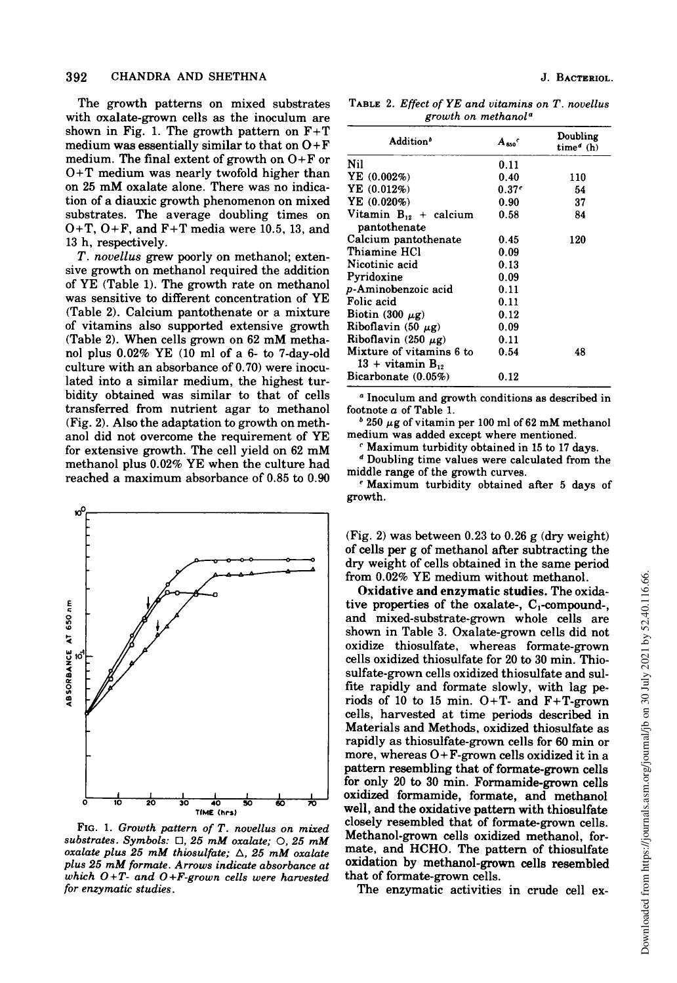The growth patterns on mixed substrates with oxalate-grown cells as the inoculum are shown in Fig. 1. The growth pattern on  $F+T$ medium was essentially similar to that on  $O + F$ medium. The final extent of growth on  $O+F$  or O+T medium was nearly twofold higher than on <sup>25</sup> mM oxalate alone. There was no indication of a diauxic growth phenomenon on mixed substrates. The average doubling times on O+T, O+F, and F+T media were 10.5, 13, and 13 h, respectively.

T. novellus grew poorly on methanol; extensive growth on methanol required the addition of YE (Table 1). The growth rate on methanol was sensitive to different concentration of YE (Table 2). Calcium pantothenate or a mixture of vitamins also supported extensive growth (Table 2). When cells grown on <sup>62</sup> mM methanol plus 0.02% YE (10 ml of a 6- to 7-day-old culture with an absorbance of 0.70) were inoculated into a similar medium, the highest turbidity obtained was similar to that of cells transferred from nutrient agar to methanol (Fig. 2). Also the adaptation to growth on methanol did not overcome the requirement of YE for extensive growth. The cell yield on <sup>62</sup> mM methanol plus 0.02% YE when the culture had reached a maximum absorbance of 0.85 to 0.90



FIG. 1. Growth pattern of T. novellus on mixed substrates. Symbols:  $\Box$ , 25 mM oxalate;  $\bigcirc$ , 25 mM oxalate plus 25 mM thiosulfate;  $\triangle$ , 25 mM oxalate plus <sup>25</sup> mM formate. Arrows indicate absorbance at which  $O+T$ - and  $O+F$ -grown cells were harvested for enzymatic studies.

TABLE 2. Effect of YE and vitamins on T. novellus growth on methanola

| Addition <sup>b</sup>                                | $A_{\rm gas}$     | Doubling<br>$timea$ (h) |
|------------------------------------------------------|-------------------|-------------------------|
| Nil                                                  | 0.11              |                         |
| YE(0.002%)                                           | 0.40              | 110                     |
| YE $(0.012%)$                                        | 0.37 <sup>e</sup> | 54                      |
| YE(0.020%)                                           | 0.90              | 37                      |
| Vitamin $B_{12}$ + calcium<br>pantothenate           | 0.58              | 84                      |
| Calcium pantothenate                                 | 0.45              | 120                     |
| Thiamine HCl                                         | 0.09              |                         |
| Nicotinic acid                                       | 0.13              |                         |
| Pyridoxine                                           | 0.09              |                         |
| p-Aminobenzoic acid                                  | 0.11              |                         |
| Folic acid                                           | 0.11              |                         |
| Biotin (300 $\mu$ g)                                 | 0.12              |                         |
| Riboflavin $(50 \mu g)$                              | 0.09              |                         |
| Riboflavin (250 $\mu$ g)                             | 0.11              |                         |
| Mixture of vitamins 6 to<br>$13 + \text{vitamin B.}$ | 0.54              | 48                      |
| Bicarbonate (0.05%)                                  | 0.12              |                         |

<sup>a</sup> Inoculum and growth conditions as described in footnote a of Table 1.

 $b$  250  $\mu$ g of vitamin per 100 ml of 62 mM methanol medium was added except where mentioned.

<sup>c</sup> Maximum turbidity obtained in <sup>15</sup> to <sup>17</sup> days.

<sup>d</sup> Doubling time values were calculated from the middle range of the growth curves.

<sup>e</sup> Maximum turbidity obtained after <sup>5</sup> days of growth.

(Fig. 2) was between 0.23 to 0.26 g (dry weight) of cells per g of methanol after subtracting the dry weight of cells obtained in the same period from 0.02% YE medium without methanol.

Oxidative and enzymatic studies. The oxidative properties of the oxalate-,  $C_1$ -compound-, and mixed-substrate-grown whole cells are shown in Table 3. Oxalate-grown cells did not oxidize thiosulfate, whereas formate-grown cells oxidized thiosulfate for 20 to 30 min. Thiosulfate-grown cells oxidized thiosulfate and sulfite rapidly and formate slowly, with lag periods of 10 to 15 min.  $O+T$ - and  $F+T$ -grown cells, harvested at time periods described in Materials and Methods, oxidized thiosulfate as rapidly as thiosulfate-grown cells for 60 min or more, whereas  $O + F$ -grown cells oxidized it in a pattern resembling that of formate-grown cells for only 20 to 30 min. Formamide-grown cells oxidized formamide, formate, and methanol well, and the oxidative pattern with thiosulfate closely resembled that of formate-grown cells. Methanol-grown cells oxidized methanol, formate, and HCHO. The pattern of thiosulfate oxidation by methanol-grown cells resembled that of formate-grown cells.

The enzymatic activities in crude cell ex-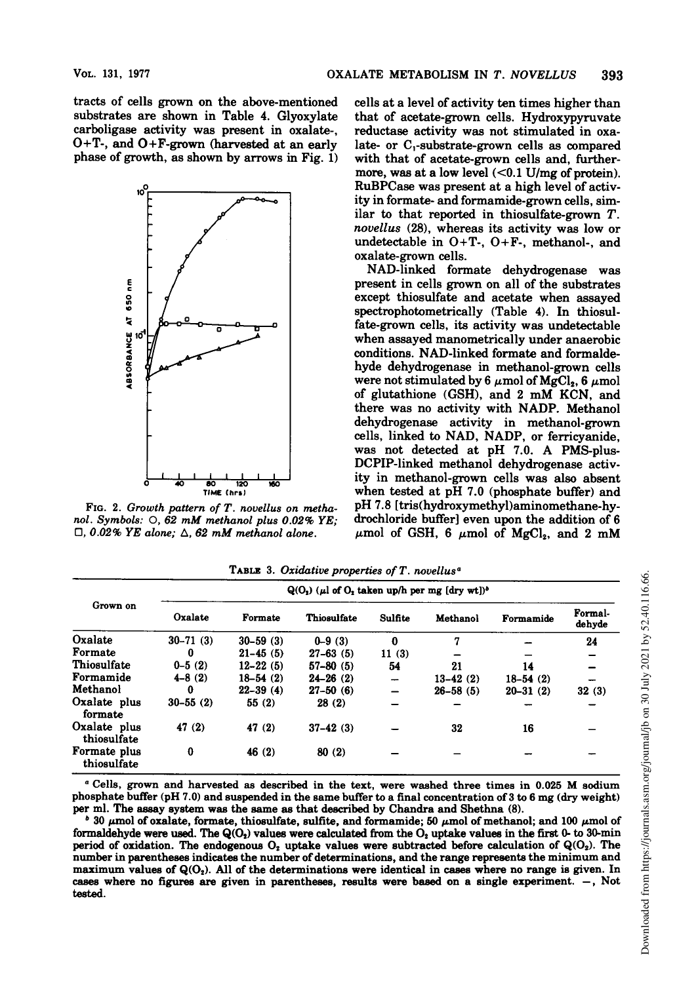tracts of cells grown on the above-mentioned substrates are shown in Table 4. Glyoxylate carboligase activity was present in oxalate-, O+T-, and O+F-grown (harvested at an early phase of growth, as shown by arrows in Fig. 1)



FIG. 2. Growth pattern of T. novellus on methanol. Symbols: 0, <sup>62</sup> mM methanol plus 0.02% YE;  $\Box$ , 0.02% YE alone;  $\Delta$ , 62 mM methanol alone.

cells at a level of activity ten times higher than that of acetate-grown cells. Hydroxypyruvate reductase activity was not stimulated in oxalate- or  $C_1$ -substrate-grown cells as compared with that of acetate-grown cells and, furthermore, was at a low level  $( $0.1 \text{ U/mg}$  of protein).$ RuBPCase was present at a high level of activity in formate- and formamide-grown cells, similar to that reported in thiosulfate-grown T. novellus (28), whereas its activity was low or undetectable in O+T-, O+F-, methanol-, and oxalate-grown cells.

NAD-linked formate dehydrogenase was present in cells grown on all of the substrates except thiosulfate and acetate when assayed spectrophotometrically (Table 4). In thiosulfate-grown cells, its activity was undetectable when assayed manometrically under anaerobic conditions. NAD-linked formate and formaldehyde dehydrogenase in methanol-grown cells were not stimulated by 6  $\mu$ mol of MgCl<sub>2</sub>, 6  $\mu$ mol of glutathione (GSH), and <sup>2</sup> mM KCN, and there was no activity with NADP. Methanol dehydrogenase activity in methanol-grown cells, linked to NAD, NADP, or ferricyanide, was not detected at pH 7.0. A PMS-plus-DCPIP-linked methanol dehydrogenase activity in methanol-grown cells was also absent when tested at pH 7.0 (phosphate buffer) and pH 7.8 [tris(hydroxymethyl)aminomethane-hydrochloride buffer] even upon the addition of 6  $\mu$ mol of GSH, 6  $\mu$ mol of MgCl<sub>2</sub>, and 2 mM

| Grown on                    | $Q(O_2)$ ( $\mu$ l of $O_2$ taken up/h per mg [dry wt]) <sup>b</sup> |               |                    |                          |              |              |                   |  |  |  |
|-----------------------------|----------------------------------------------------------------------|---------------|--------------------|--------------------------|--------------|--------------|-------------------|--|--|--|
|                             | Oxalate                                                              | Formate       | <b>Thiosulfate</b> | Sulfite                  | Methanol     | Formamide    | Formal-<br>dehyde |  |  |  |
| Oxalate                     | $30 - 71(3)$                                                         | $30 - 59$ (3) | $0 - 9(3)$         | 0                        | 7            |              | 24                |  |  |  |
| Formate                     | 0                                                                    | $21 - 45(5)$  | $27-63(5)$         | 11(3)                    |              |              |                   |  |  |  |
| Thiosulfate                 | $0 - 5(2)$                                                           | $12 - 22(5)$  | $57-80(5)$         | 54                       | 21           | 14           |                   |  |  |  |
| Formamide                   | $4 - 8(2)$                                                           | $18-54(2)$    | $24 - 26$ (2)      | $\overline{\phantom{0}}$ | $13-42(2)$   | $18-54(2)$   |                   |  |  |  |
| Methanol                    | 0                                                                    | $22 - 39(4)$  | $27-50(6)$         | -                        | $26 - 58(5)$ | $20 - 31(2)$ | 32(3)             |  |  |  |
| Oxalate plus<br>formate     | $30 - 55(2)$                                                         | 55(2)         | 28(2)              |                          |              |              |                   |  |  |  |
| Oxalate plus<br>thiosulfate | 47 (2)                                                               | 47(2)         | $37-42(3)$         |                          | 32           | 16           |                   |  |  |  |
| Formate plus<br>thiosulfate | 0                                                                    | 46(2)         | 80(2)              |                          |              |              |                   |  |  |  |

TABLE 3. Oxidative properties of  $T$ . novellus<sup>a</sup>

<sup>a</sup> Cells, grown and harvested as described in the text, were washed three times in 0.025 M sodium phosphate buffer (pH 7.0) and suspended in the same buffer to <sup>a</sup> final concentration of 3 to <sup>6</sup> mg (dry weight) per ml. The assay system was the same as that described by Chandra and Shethna (8).

 $b$  30  $\mu$ mol of oxalate, formate, thiosulfate, sulfite, and formamide; 50  $\mu$ mol of methanol; and 100  $\mu$ mol of formaldehyde were used. The  $Q(O_2)$  values were calculated from the  $O_2$  uptake values in the first 0- to 30-min period of oxidation. The endogenous  $O_2$  uptake values were subtracted before calculation of  $Q(O_2)$ . The number in parentheses indicates the number of determinations, and the range represents the minimum and maximum values of  $Q(O_2)$ . All of the determinations were identical in cases where no range is given. In cases where no figures are given in parentheses, results were based on a single experiment. -, Not tested.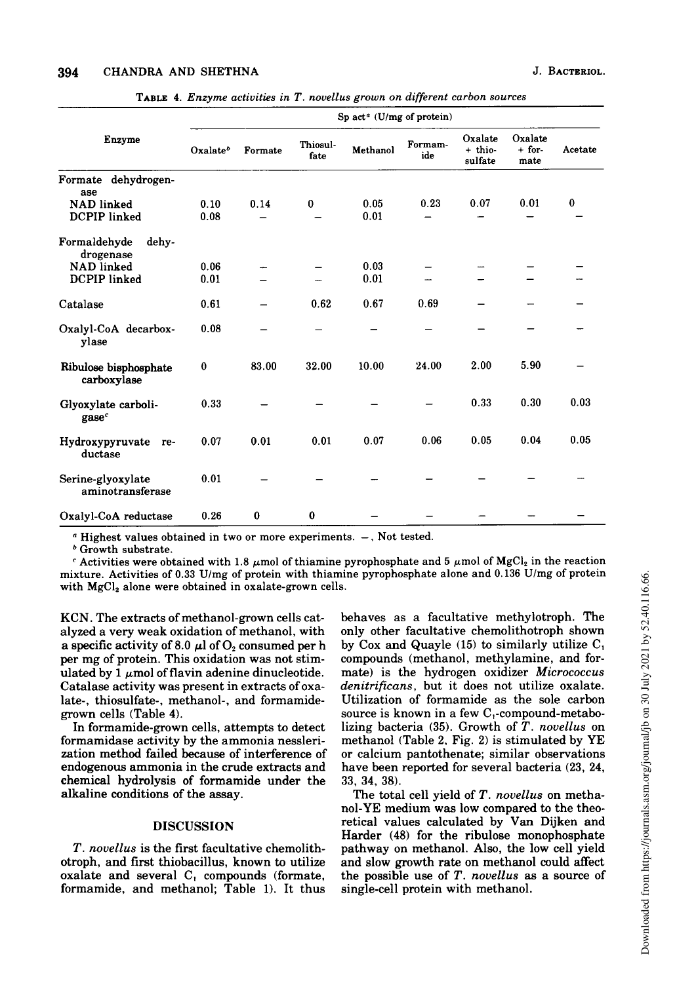| TABLE 4. Enzyme activities in T. novellus grown on different carbon sources |  |  |  |  |  |  |  |  |
|-----------------------------------------------------------------------------|--|--|--|--|--|--|--|--|
|-----------------------------------------------------------------------------|--|--|--|--|--|--|--|--|

|                                          | Sp act <sup><math>a</math></sup> (U/mg of protein) |          |                  |              |                |                                 |                             |          |  |  |
|------------------------------------------|----------------------------------------------------|----------|------------------|--------------|----------------|---------------------------------|-----------------------------|----------|--|--|
| Enzyme                                   | Oxalate <sup>b</sup>                               | Formate  | Thiosul-<br>fate | Methanol     | Formam-<br>ide | Oxalate<br>$+$ thio-<br>sulfate | Oxalate<br>$+$ for-<br>mate | Acetate  |  |  |
| Formate dehydrogen-<br>ase               |                                                    |          |                  |              |                |                                 |                             |          |  |  |
| <b>NAD</b> linked<br>DCPIP linked        | 0.10<br>0.08                                       | 0.14     | 0                | 0.05<br>0.01 | 0.23           | 0.07                            | 0.01                        | $\bf{0}$ |  |  |
| Formaldehyde<br>dehy-<br>drogenase       |                                                    |          |                  |              |                |                                 |                             |          |  |  |
| <b>NAD</b> linked<br><b>DCPIP</b> linked | 0.06<br>0.01                                       |          |                  | 0.03<br>0.01 |                |                                 |                             |          |  |  |
| Catalase                                 | 0.61                                               |          | 0.62             | 0.67         | 0.69           |                                 |                             |          |  |  |
| Oxalyl-CoA decarbox-<br>ylase            | 0.08                                               |          |                  |              |                |                                 |                             |          |  |  |
| Ribulose bisphosphate<br>carboxylase     | 0                                                  | 83.00    | 32.00            | 10.00        | 24.00          | 2.00                            | 5.90                        |          |  |  |
| Glyoxylate carboli-<br>$\mathbf{gase}^c$ | 0.33                                               |          |                  |              |                | 0.33                            | 0.30                        | 0.03     |  |  |
| Hydroxypyruvate<br>re-<br>ductase        | 0.07                                               | 0.01     | 0.01             | 0.07         | 0.06           | 0.05                            | 0.04                        | 0.05     |  |  |
| Serine-glyoxylate<br>aminotransferase    | 0.01                                               |          |                  |              |                |                                 |                             |          |  |  |
| Oxalyl-CoA reductase                     | 0.26                                               | $\bf{0}$ | 0                |              |                |                                 |                             |          |  |  |

 $a$  Highest values obtained in two or more experiments.  $-$ , Not tested.

<sup>b</sup> Growth substrate.

 $c$  Activities were obtained with 1.8  $\mu$ mol of thiamine pyrophosphate and 5  $\mu$ mol of MgCl<sub>2</sub> in the reaction mixture. Activities of 0.33 U/mg of protein with thiamine pyrophosphate alone and 0.136 U/mg of protein with MgCl<sub>2</sub> alone were obtained in oxalate-grown cells.

KCN. The extracts of methanol-grown cells catalyzed a very weak oxidation of methanol, with a specific activity of 8.0  $\mu$ l of O<sub>2</sub> consumed per h per mg of protein. This oxidation was not stimulated by 1  $\mu$ mol of flavin adenine dinucleotide. Catalase activity was present in extracts of oxalate-, thiosulfate-, methanol-, and formamidegrown cells (Table 4).

In formamide-grown cells, attempts to detect formamidase activity by the ammonia nesslerization method failed because of interference of endogenous ammonia in the crude extracts and chemical hydrolysis of formamide under the alkaline conditions of the assay.

# DISCUSSION

T. novellus is the first facultative chemolithotroph, and first thiobacillus, known to utilize oxalate and several  $C_1$  compounds (formate, formamide, and methanol; Table 1). It thus behaves as a facultative methylotroph. The only other facultative chemolithotroph shown by Cox and Quayle (15) to similarly utilize  $C_1$ compounds (methanol, methylamine, and formate) is the hydrogen oxidizer Micrococcus denitrificans, but it does not utilize oxalate. Utilization of formamide as the sole carbon source is known in a few C,-compound-metabolizing bacteria  $(35)$ . Growth of T. novellus on methanol (Table 2, Fig. 2) is stimulated by YE or calcium pantothenate; similar observations have been reported for several bacteria (23, 24, 33, 34, 38).

The total cell yield of T. novellus on methanol-YE medium was low compared to the theoretical values calculated by Van Dijken and Harder (48) for the ribulose monophosphate pathway on methanol. Also, the low cell yield and slow growth rate on methanol could affect the possible use of  $T$ . novellus as a source of single-cell protein with methanol.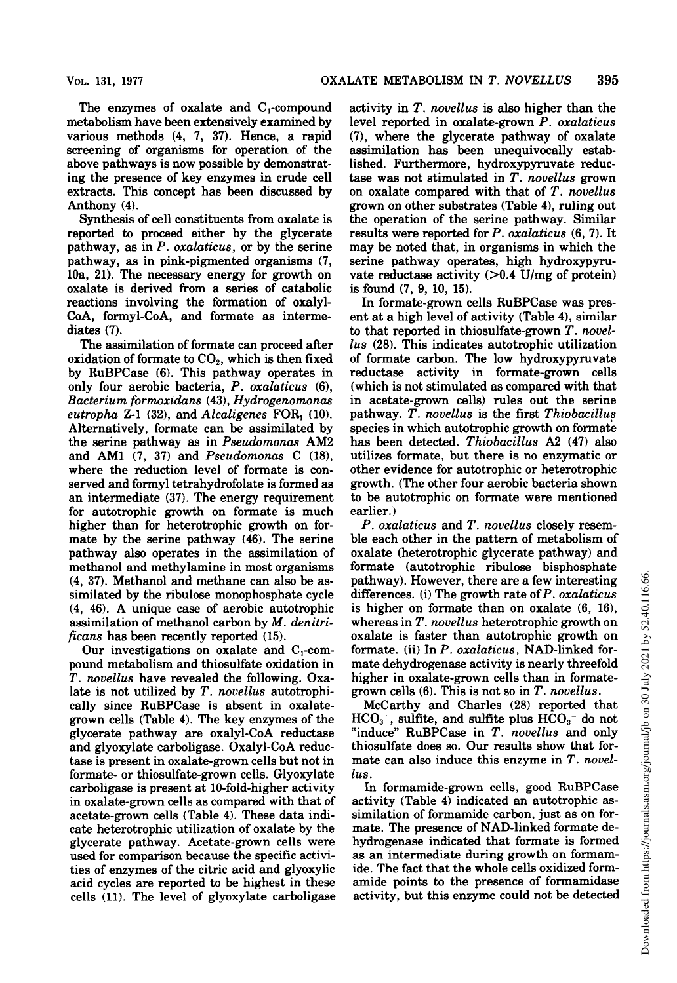The enzymes of oxalate and  $C_1$ -compound metabolism have been extensively examined by various methods (4, 7, 37). Hence, a rapid screening of organisms for operation of the above pathways is now possible by demonstrating the presence of key enzymes in crude cell extracts. This concept has been discussed by Anthony (4).

Synthesis of cell constituents from oxalate is reported to proceed either by the glycerate pathway, as in P. oxalaticus, or by the serine pathway, as in pink-pigmented organisms (7, 10a, 21). The necessary energy for growth on oxalate is derived from a series of catabolic reactions involving the formation of oxalyl-CoA, formyl-CoA, and formate as intermediates (7).

The assimilation of formate can proceed after oxidation of formate to  $CO<sub>2</sub>$ , which is then fixed by RuBPCase (6). This pathway operates in only four aerobic bacteria, P. oxalaticus (6), Bacterium formoxidans (43), Hydrogenomonas eutropha Z-1 (32), and Alcaligenes FOR, (10). Alternatively, formate can be assimilated by the serine pathway as in Pseudomonas AM2 and AM1 (7, 37) and Pseudomonas C (18), where the reduction level of formate is conserved and formyl tetrahydrofolate is formed as an intermediate (37). The energy requirement for autotrophic growth on formate is much higher than for heterotrophic growth on formate by the serine pathway (46). The serine pathway also operates in the assimilation of methanol and methylamine in most organisms (4, 37). Methanol and methane can also be assimilated by the ribulose monophosphate cycle (4, 46). A unique case of aerobic autotrophic assimilation of methanol carbon by M. denitrificans has been recently reported (15).

Our investigations on oxalate and  $C_1$ -compound metabolism and thiosulfate oxidation in T. novellus have revealed the following. Oxalate is not utilized by  $T$ . *novellus* autotrophically since RuBPCase is absent in oxalategrown cells (Table 4). The key enzymes of the glycerate pathway are oxalyl-CoA reductase and glyoxylate carboligase. Oxalyl-CoA reductase is present in oxalate-grown cells but not in formate- or thiosulfate-grown cells. Glyoxylate carboligase is present at 10-fold-higher activity in oxalate-grown cells as compared with that of acetate-grown cells (Table 4). These data indicate heterotrophic utilization of oxalate by the glycerate pathway. Acetate-grown cells were used for comparison because the specific activities of enzymes of the citric acid and glyoxylic acid cycles are reported to be highest in these cells (11). The level of glyoxylate carboligase

activity in T. novellus is also higher than the level reported in oxalate-grown P. oxalaticus (7), where the glycerate pathway of oxalate assimilation has been unequivocally established. Furthermore, hydroxypyruvate reductase was not stimulated in T. novellus grown on oxalate compared with that of  $T$ . novellus grown on other substrates (Table 4), ruling out the operation of the serine pathway. Similar results were reported for  $P$ . oxalaticus  $(6, 7)$ . It may be noted that, in organisms in which the serine pathway operates, high hydroxypyruvate reductase activity  $(>0.4$  U/mg of protein) is found (7, 9, 10, 15).

In formate-grown cells RuBPCase was present at a high level of activity (Table 4), similar to that reported in thiosulfate-grown T. novellus (28). This indicates autotrophic utilization of formate carbon. The low hydroxypyruvate reductase activity in formate-grown cells (which is not stimulated as compared with that in acetate-grown cells) rules out the serine pathway. T. novellus is the first Thiobacillus species in which autotrophic growth on formate has been detected. Thiobacillus A2 (47) also utilizes formate, but there is no enzymatic or other evidence for autotrophic or heterotrophic growth. (The other four aerobic bacteria shown to be autotrophic on formate were mentioned earlier.)

P. oxalaticus and T. novellus closely resemble each other in the pattern of metabolism of oxalate (heterotrophic glycerate pathway) and formate (autotrophic ribulose bisphosphate pathway). However, there are a few interesting differences. (i) The growth rate of  $P$ . oxalaticus is higher on formate than on oxalate (6, 16), whereas in T. novellus heterotrophic growth on oxalate is faster than autotrophic growth on formate. (ii) In P. oxalaticus, NAD-linked formate dehydrogenase activity is nearly threefold higher in oxalate-grown cells than in formategrown cells  $(6)$ . This is not so in T. novellus.

McCarthy and Charles (28) reported that  $HCO<sub>3</sub>^-$ , sulfite, and sulfite plus  $HCO<sub>3</sub>^-$  do not "induce" RuBPCase in T. novellus and only thiosulfate does so. Our results show that formate can also induce this enzyme in  $T$ . novellus.

In formamide-grown cells, good RuBPCase activity (Table 4) indicated an autotrophic assimilation of formamide carbon, just as on formate. The presence of NAD-linked formate dehydrogenase indicated that formate is formed as an intermediate during growth on formamide. The fact that the whole cells oxidized formamide points to the presence of formamidase activity, but this enzyme could not be detected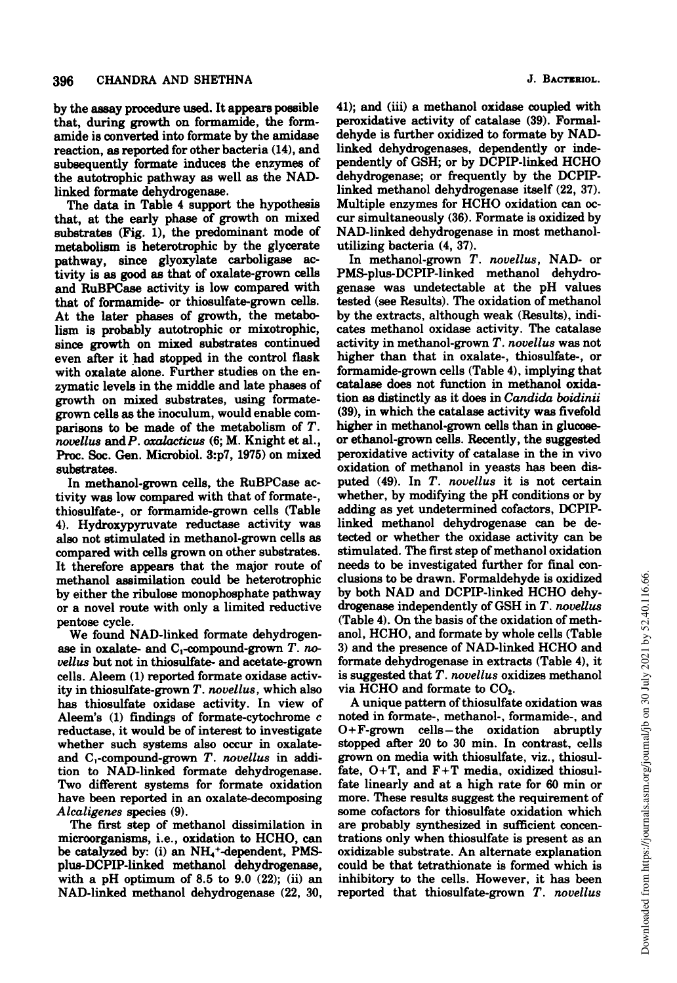by the assay procedure used. It appears possible that, during growth on formamide, the formamide is converted into formate by the amidase reaction, as reported for other bacteria (14), and subsequently formate induces the enzymes of the autotrophic pathway as well as the NADlinked formate dehydrogenase.

The data in Table 4 support the hypothesis that, at the early phase of growth on mixed substrates (Fig. 1), the predominant mode of metabolism is heterotrophic by the glycerate pathway, since glyoxylate carboligase activity is as good as that of oxalate-grown cells and RuBPCase activity is low compared with that of formamide- or thiosulfate-grown cells. At the later phases of growth, the metabolism is probably autotrophic or mixotrophic, since growth on mixed substrates continued even after it had stopped in the control flask with oxalate alone. Further studies on the enzymatic levels in the middle and late phases of growth on mixed substrates, using formategrown cells as the inoculum, would enable comparisons to be made of the metabolism of T. novellus andP. oxalacticus (6; M. Knight et al., Proc. Soc. Gen. Microbiol. 3:p7, 1975) on mixed substrates.

In methanol-grown cells, the RuBPCase activity was low compared with that of formate-, thiosulfate-, or formamide-grown cells (Table 4). Hydroxypyruvate reductase activity was also not stimulated in methanol-grown cells as compared with cells grown on other substrates. It therefore appears that the major route of methanol assimilation could be heterotrophic by either the ribulose monophosphate pathway or a novel route with only a limited reductive pentose cycle.

We found NAD-linked formate dehydrogenase in oxalate- and  $C_1$ -compound-grown T. novellus but not in thiosulfate- and acetate-grown cells. Aleem (1) reported formate oxidase activity in thiosulfate-grown T. novellus, which also has thiosulfate oxidase activity. In view of Aleem's (1) findings of formate-cytochrome c reductase, it would be of interest to investigate whether such systems also occur in oxalateand  $C_1$ -compound-grown  $T$ . novellus in addition to NAD-linked formate dehydrogenase. Two different systems for formate oxidation have been reported in an oxalate-decomposing Alcaligenes species (9).

The first step of methanol dissimilation in microorganisms, i.e., oxidation to HCHO, can be catalyzed by: (i) an  $NH<sub>4</sub>$ <sup>+</sup>-dependent, PMSplus-DCPIP-linked methanol dehydrogenase, with a pH optimum of  $8.5$  to  $9.0$   $(22)$ ;  $(ii)$  an NAD-linked methanol dehydrogenase (22, 30,

41); and (iii) a methanol oxidase coupled with peroxidative activity of catalase (39). Formaldehyde is further oxidized to formate by NADlinked dehydrogenases, dependently or independently of GSH; or by DCPIP-linked HCHO dehydrogenase; or frequently by the DCPIPlinked methanol dehydrogenase itself (22, 37). Multiple enzymes for HCHO oxidation can occur simultaneously (36). Formate is oxidized by NAD-linked dehydrogenase in most methanolutilizing bacteria (4, 37).

In methanol-grown T. novellus, NAD- or PMS-plus-DCPIP-linked methanol dehydrogenase was undetectable at the pH values tested (see Results). The oxidation of methanol by the extracts, although weak (Results), indicates methanol oxidase activity. The catalase activity in methanol-grown T. novellus was not higher than that in oxalate-, thiosulfate-, or formamide-grown cells (Table 4), implying that catalase does not function in methanol oxidation as distinctly as it does in Candida boidinii (39), in which the catalase activity was fivefold higher in methanol-grown cells than in glucoseor ethanol-grown cells. Recently, the suggested peroxidative activity of catalase in the in vivo oxidation of methanol in yeasts has been disputed (49). In T. novellus it is not certain whether, by modifying the pH conditions or by adding as yet undetermined cofactors, DCPIPlinked methanol dehydrogenase can be detected or whether the oxidase activity can be stimulated. The first step of methanol oxidation needs to be investigated further for final conclusions to be drawn. Formaldehyde is oxidized by both NAD and DCPIP-linked HCHO dehydrogenase independently of GSH in T. novellus (Table 4). On the basis of the oxidation of methanol, HCHO, and formate by whole cells (Table 3) and the presence of NAD-linked HCHO and formate dehydrogenase in extracts (Table 4), it is suggested that T. novellus oxidizes methanol via HCHO and formate to  $CO<sub>2</sub>$ .

A unique pattern of thiosulfate oxidation was noted in formate-, methanol-, formamide-, and  $O + F$ -grown cells-the oxidation abruptly stopped after 20 to 30 min. In contrast, cells grown on media with thiosulfate, viz., thiosulfate,  $O+T$ , and  $F+T$  media, oxidized thiosulfate linearly and at a high rate for 60 min or more. These results suggest the requirement of some cofactors for thiosulfate oxidation which are probably synthesized in sufficient concentrations only when thiosulfate is present as an oxidizable substrate. An alternate explanation could be that tetrathionate is formed which is inhibitory to the cells. However, it has been reported that thiosulfate-grown T. novellus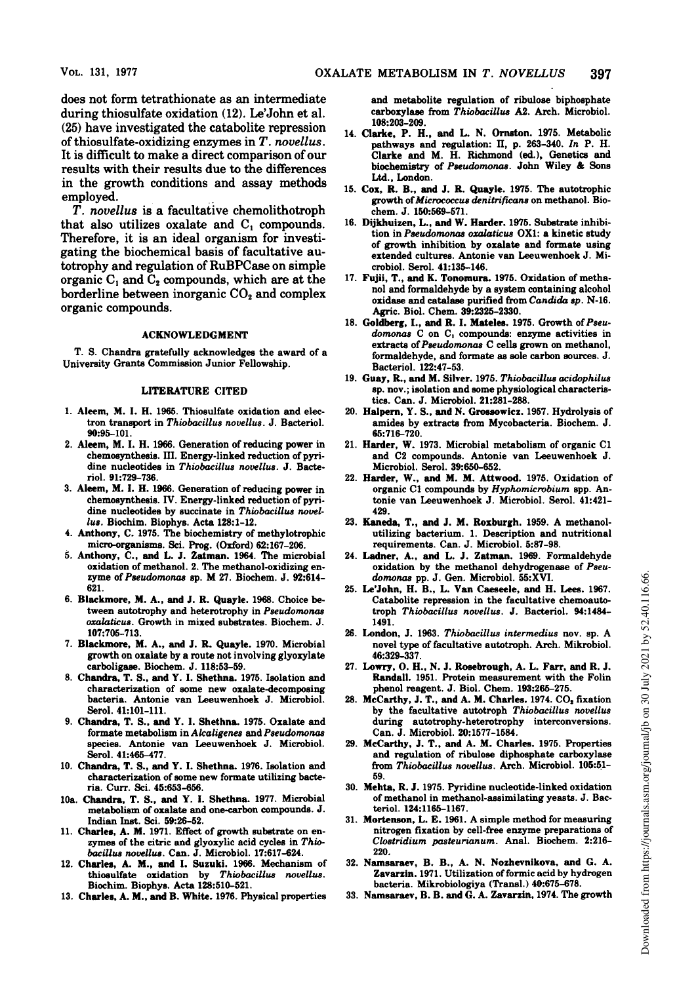does not form tetrathionate as an intermediate during thiosulfate oxidation (12). Le'John et al. (25) have investigated the catabolite repression of thiosulfate-oxidizing enzymes in T. novellus. It is difficult to make a direct comparison of our results with their results due to the differences in the growth conditions and assay methods employed.

T. novellus is a facultative chemolithotroph that also utilizes oxalate and  $C_1$  compounds. Therefore, it is an ideal organism for investigating the biochemical basis of facultative autotrophy and regulation of RuBPCase on simple organic  $C_1$  and  $C_2$  compounds, which are at the borderline between inorganic  $CO<sub>2</sub>$  and complex organic compounds.

#### ACKNOWLEDGMENT

T. S. Chandra gratefully acknowledges the award of a University Grants Commission Junior Fellowship.

#### LITERATURE CITED

- 1. Aleem, M. I. H. 1965. Thiosulfate oxidation and electron transport in Thiobacillus novellus. J. Bacteriol. 90:95-101.
- 2. Aleem, M. I. H. 1966. Generation of reducing power in chemosynthesis. III. Energy-linked reduction of pyridine nucleotides in Thiobacillus novellus. J. Bacteriol. 91:729-736.
- 3. Aleem, M. I. H. 1966. Generation of reducing power in chemosynthesis. IV. Energy-linked reduction of pyridine nucleotides by succinate in Thiobacillus novellus. Biochim. Biophys. Acta 128:1-12.
- 4. Anthony, C. 1975. The biochemistry of methylotrophic micro-organisms. Sci. Prog. (Oxford) 62:167-206.
- 5. Anthony, C., and L. J. Zatman. 1964. The microbial oxidation of methanol. 2. The methanol-oxidizing enzyme of Pseudomonas sp. M 27. Biochem. J. 92:614- 621.
- 6. Blackmore, M. A., and J. R. Quayle. 1968. Choice between autotrophy and heterotrophy in Pseudomonas oxalaticus. Growth in mixed substrates. Biochem. J. 107:705-713.
- 7. Blackmore, M. A., and J. R. Quayle. 1970. Microbial growth on oxalate by a route not involving glyoxylate carboligase. Biochem. J. 118:53-59.
- 8. Chandra, T. S., and Y. I. Shethna. 1975. Isolation and characterization of some new oxalate-decomposing bacteria. Antonie van Leeuwenhoek J. Microbiol. Serol. 41:101-111.
- 9. Chandra, T. S., and Y. I. Shethna. 1975. Oxalate and formate metabolism in Alcaligenes and Pseudomonas species. Antonie van Leeuwenhoek J. Microbiol. Serol. 41:465-477.
- 10. Chandra, T. S., and Y. I. Shethna. 1976. Isolation and characterization of some new formate utilizing bacteria. Curr. Sci. 45:653-656.
- 10a. Chandra, T. S., and Y. I. Shethna. 1977. Microbial metabolism of oxalate and one-carbon compounds. J. Indian Inst. Sci. 59:26-52.
- 11. Charles, A. M. 1971. Effect of growth substrate on enzymes of the citric and glyoxylic acid cycles in Thiobacillus novellus. Can. J. Microbiol. 17:617-624.
- 12. Charles, A. M., and I. Suzuki. 1966. Mechanism of thiosulfate oxidation by Thiobacillus novellus. Biochim. Biophys. Acta 128:510-521.
- 13. Charles, A. M., and B. White. 1976. Physical properties

and metabolite regulation of ribulose biphosphate carboxylase from Thiobacillus A2. Arch. Microbiol. 108:203-209.

- 14. Clarke, P. H., and L. N. Ornston. 1975. Metabolic pathways and regulation: II, p. 263-340. In P. H. Clarke and M. H. Richmond (ed.), Genetics and biochemistry of Pseudomonas. John Wiley & Sons Ltd., London.
- 15. Cox, R. B., and J. R. Quayle. 1975. The autotrophic growth of Micrococcus denitrificans on methanol. Biochem. J. 150:569-571.
- 16. Dijkhuizen, L., and W. Harder. 1975. Substrate inhibition in Pseudomonas oxalaticus OX1: a kinetic study of growth inhibition by oxalate and formate using extended cultures. Antonie van Leeuwenhoek J. Microbiol. Serol. 41:135-146.
- 17. Fujii, T., and K. Tonomura. 1975. Oxidation of methanol and formaldehyde by a system containing alcohol oxidase and catalase purified from Candida sp. N-16. Agric. Biol. Chem. 39:2325-2330.
- 18. Goldberg, I., and R. I. Mateles. 1975. Growth of Pseudomonas C on C, compounds: enzyme activities in extracts of Pseudomonas C cells grown on methanol, formaldehyde, and formate as sole carbon sources. J. Bacteriol. 122:47-53.
- 19. Guay, R., and M. Silver. 1975. Thiobacillus acidophilus sp. nov.; isolation and some physiological characteristics. Can. J. Microbiol. 21:281-288.
- 20. Halpern, Y. S., and N. Grosowicz. 1957. Hydrolysis of amides by extracts from Mycobacteria. Biochem. J. 65:716-720.
- 21. Harder, W. 1973. Microbial metabolism of organic Cl and C2 compounds. Antonie van Leeuwenhoek J. Microbiol. Serol. 39:650-652.
- 22. Harder, W., and M. M. Attwood. 1975. Oxidation of organic Cl compounds by Hyphomicrobium spp. Antonie van Leeuwenhoek J. Microbiol. Serol. 41:421- 429.
- 23. Kaneda, T., and J. M. Roxburgh. 1959. A methanolutilizing bacterium. 1. Description and nutritional requirements. Can. J. Microbiol. 5:87-98.
- 24. Ladner, A., and L. J. Zatman. 1969. Formaldehyde oxidation by the methanol dehydrogenase of Pseudomonas pp. J. Gen. Microbiol. 55:XVI.
- 25. Le'John, H. B., L. Van Caeseele, and H. Lees. 1967. Catabolite repression in the facultative chemoautotroph Thiobacillus novellus. J. Bacteriol. 94:1484- 1491.
- 26. London, J. 1963. Thiobacillus intermedius nov. sp. A novel type of facultative autotroph. Arch. Mikrobiol. 46:329-337.
- 27. Lowry, 0. H., N. J. Rosebrough, A. L. Farr, and R. J. Randall. 1951. Protein measurement with the Folin phenol reagent. J. Biol. Chem. 193:265-275.
- 28. McCarthy, J. T., and A. M. Charles. 1974. CO<sub>2</sub> fixation by the facultative autotroph Thiobacillus novellus during autotrophy-heterotrophy interconversions. Can. J. Microbiol. 20:1577-1584.
- 29. McCarthy, J. T., and A. M. Charles. 1975. Properties and regulation of ribulose diphosphate carboxylase from Thiobacillus novellus. Arch. Microbiol. 105:51- 59.
- 30. Mehta, R. J. 1975. Pyridine nucleotide-linked oxidation of methanol in methanol-assimilating yeasts. J. Bacteriol. 124:1165-1167.
- 31. Mortenson, L. E. 1961. A simple method for measuring nitrogen fixation by cell-free enzyme preparations of Clostridium pasteurianum. Anal. Biochem. 2:216- 220.
- 32. Namsaraev, B. B., A. N. Nozhevnikova, and G. A. Zavarzin. 1971. Utilization of formic acid by hydrogen bacteria. Mikrobiologiya (Transl.) 40:675-678.
- 33. Namsaraev, B. B. and G. A. Zavarzin, 1974. The growth